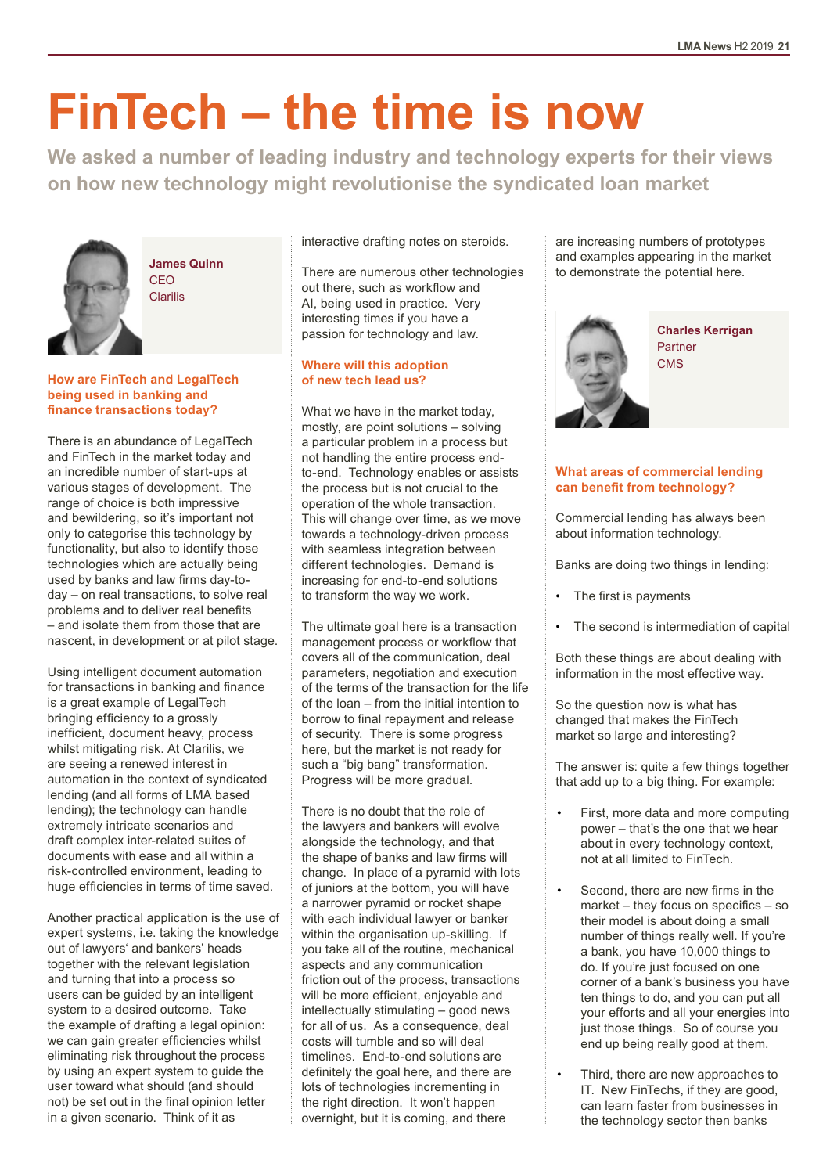# **FinTech – the time is now**

**We asked a number of leading industry and technology experts for their views on how new technology might revolutionise the syndicated loan market**



**James Quinn CEO** Clarilis

# **How are FinTech and LegalTech being used in banking and finance transactions today?**

There is an abundance of LegalTech and FinTech in the market today and an incredible number of start-ups at various stages of development. The range of choice is both impressive and bewildering, so it's important not only to categorise this technology by functionality, but also to identify those technologies which are actually being used by banks and law firms day-today – on real transactions, to solve real problems and to deliver real benefits – and isolate them from those that are nascent, in development or at pilot stage.

Using intelligent document automation for transactions in banking and finance is a great example of LegalTech bringing efficiency to a grossly inefficient, document heavy, process whilst mitigating risk. At Clarilis, we are seeing a renewed interest in automation in the context of syndicated lending (and all forms of LMA based lending); the technology can handle extremely intricate scenarios and draft complex inter-related suites of documents with ease and all within a risk-controlled environment, leading to huge efficiencies in terms of time saved.

Another practical application is the use of expert systems, i.e. taking the knowledge out of lawyers' and bankers' heads together with the relevant legislation and turning that into a process so users can be guided by an intelligent system to a desired outcome. Take the example of drafting a legal opinion: we can gain greater efficiencies whilst eliminating risk throughout the process by using an expert system to guide the user toward what should (and should not) be set out in the final opinion letter in a given scenario. Think of it as

interactive drafting notes on steroids.

There are numerous other technologies out there, such as workflow and AI, being used in practice. Very interesting times if you have a passion for technology and law.

# **Where will this adoption of new tech lead us?**

What we have in the market today, mostly, are point solutions – solving a particular problem in a process but not handling the entire process endto-end. Technology enables or assists the process but is not crucial to the operation of the whole transaction. This will change over time, as we move towards a technology-driven process with seamless integration between different technologies. Demand is increasing for end-to-end solutions to transform the way we work.

The ultimate goal here is a transaction management process or workflow that covers all of the communication, deal parameters, negotiation and execution of the terms of the transaction for the life of the loan – from the initial intention to borrow to final repayment and release of security. There is some progress here, but the market is not ready for such a "big bang" transformation. Progress will be more gradual.

There is no doubt that the role of the lawyers and bankers will evolve alongside the technology, and that the shape of banks and law firms will change. In place of a pyramid with lots of juniors at the bottom, you will have a narrower pyramid or rocket shape with each individual lawyer or banker within the organisation up-skilling. If you take all of the routine, mechanical aspects and any communication friction out of the process, transactions will be more efficient, enjoyable and intellectually stimulating – good news for all of us. As a consequence, deal costs will tumble and so will deal timelines. End-to-end solutions are definitely the goal here, and there are lots of technologies incrementing in the right direction. It won't happen overnight, but it is coming, and there

are increasing numbers of prototypes and examples appearing in the market to demonstrate the potential here.



**Charles Kerrigan** Partner **CMS** 

# **What areas of commercial lending can benefit from technology?**

Commercial lending has always been about information technology.

Banks are doing two things in lending:

- The first is payments
- The second is intermediation of capital

Both these things are about dealing with information in the most effective way.

So the question now is what has changed that makes the FinTech market so large and interesting?

The answer is: quite a few things together that add up to a big thing. For example:

- First, more data and more computing power – that's the one that we hear about in every technology context, not at all limited to FinTech.
- Second, there are new firms in the market – they focus on specifics – so their model is about doing a small number of things really well. If you're a bank, you have 10,000 things to do. If you're just focused on one corner of a bank's business you have ten things to do, and you can put all your efforts and all your energies into just those things. So of course you end up being really good at them.
- Third, there are new approaches to IT. New FinTechs, if they are good, can learn faster from businesses in the technology sector then banks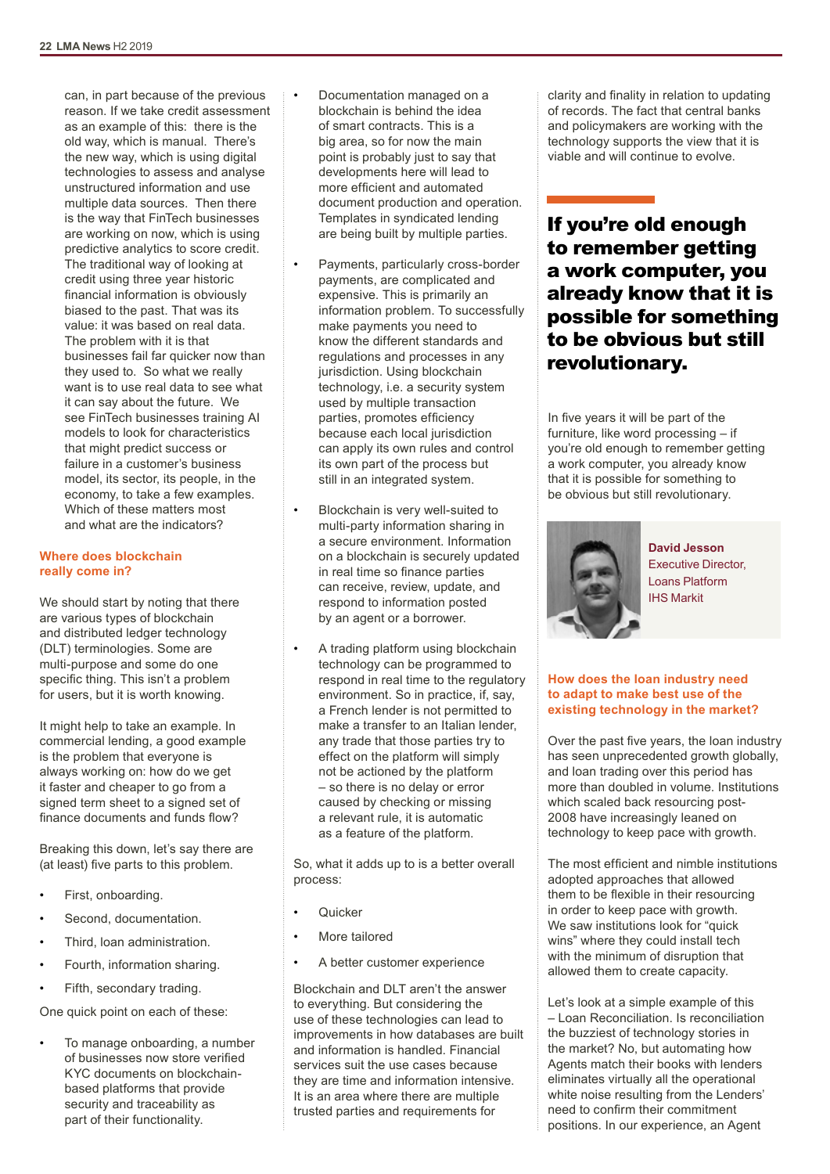can, in part because of the previous reason. If we take credit assessment as an example of this: there is the old way, which is manual. There's the new way, which is using digital technologies to assess and analyse unstructured information and use multiple data sources. Then there is the way that FinTech businesses are working on now, which is using predictive analytics to score credit. The traditional way of looking at credit using three year historic financial information is obviously biased to the past. That was its value: it was based on real data. The problem with it is that businesses fail far quicker now than they used to. So what we really want is to use real data to see what it can say about the future. We see FinTech businesses training AI models to look for characteristics that might predict success or failure in a customer's business model, its sector, its people, in the economy, to take a few examples. Which of these matters most and what are the indicators?

### **Where does blockchain really come in?**

We should start by noting that there are various types of blockchain and distributed ledger technology (DLT) terminologies. Some are multi-purpose and some do one specific thing. This isn't a problem for users, but it is worth knowing.

It might help to take an example. In commercial lending, a good example is the problem that everyone is always working on: how do we get it faster and cheaper to go from a signed term sheet to a signed set of finance documents and funds flow?

Breaking this down, let's say there are (at least) five parts to this problem.

- First, onboarding.
- Second, documentation.
- Third, loan administration.
- Fourth, information sharing.
- Fifth, secondary trading.

One quick point on each of these:

To manage onboarding, a number of businesses now store verified KYC documents on blockchainbased platforms that provide security and traceability as part of their functionality.

- Documentation managed on a blockchain is behind the idea of smart contracts. This is a big area, so for now the main point is probably just to say that developments here will lead to more efficient and automated document production and operation. Templates in syndicated lending are being built by multiple parties.
- Payments, particularly cross-border payments, are complicated and expensive. This is primarily an information problem. To successfully make payments you need to know the different standards and regulations and processes in any jurisdiction. Using blockchain technology, i.e. a security system used by multiple transaction parties, promotes efficiency because each local jurisdiction can apply its own rules and control its own part of the process but still in an integrated system.
- Blockchain is very well-suited to multi-party information sharing in a secure environment. Information on a blockchain is securely updated in real time so finance parties can receive, review, update, and respond to information posted by an agent or a borrower.
- A trading platform using blockchain technology can be programmed to respond in real time to the regulatory environment. So in practice, if, say, a French lender is not permitted to make a transfer to an Italian lender, any trade that those parties try to effect on the platform will simply not be actioned by the platform – so there is no delay or error caused by checking or missing a relevant rule, it is automatic as a feature of the platform.

So, what it adds up to is a better overall process:

- **Quicker**
- More tailored
- A better customer experience

Blockchain and DLT aren't the answer to everything. But considering the use of these technologies can lead to improvements in how databases are built and information is handled. Financial services suit the use cases because they are time and information intensive. It is an area where there are multiple trusted parties and requirements for

clarity and finality in relation to updating of records. The fact that central banks and policymakers are working with the technology supports the view that it is viable and will continue to evolve.

If you're old enough to remember getting a work computer, you already know that it is possible for something to be obvious but still revolutionary.

In five years it will be part of the furniture, like word processing – if you're old enough to remember getting a work computer, you already know that it is possible for something to be obvious but still revolutionary.



**David Jesson** Executive Director, Loans Platform IHS Markit

# **How does the loan industry need to adapt to make best use of the existing technology in the market?**

Over the past five years, the loan industry has seen unprecedented growth globally, and loan trading over this period has more than doubled in volume. Institutions which scaled back resourcing post-2008 have increasingly leaned on technology to keep pace with growth.

The most efficient and nimble institutions adopted approaches that allowed them to be flexible in their resourcing in order to keep pace with growth. We saw institutions look for "quick" wins" where they could install tech with the minimum of disruption that allowed them to create capacity.

Let's look at a simple example of this – Loan Reconciliation. Is reconciliation the buzziest of technology stories in the market? No, but automating how Agents match their books with lenders eliminates virtually all the operational white noise resulting from the Lenders' need to confirm their commitment positions. In our experience, an Agent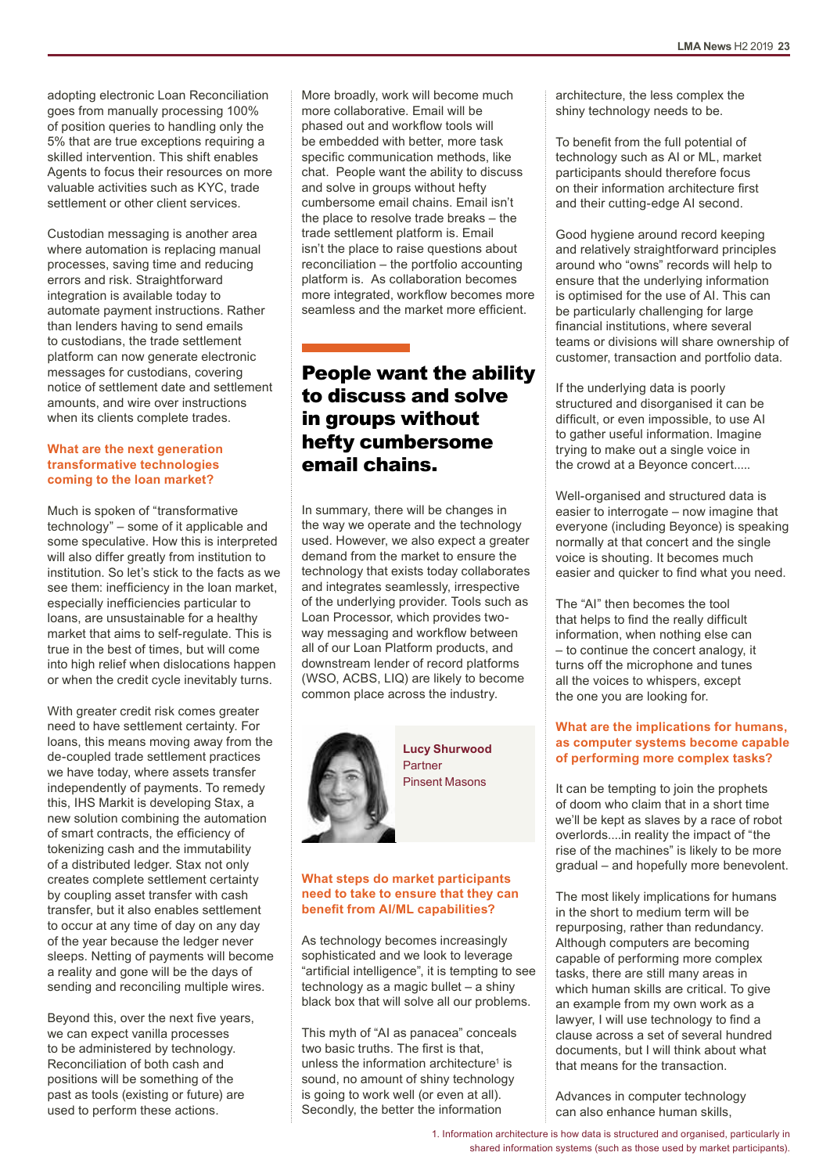adopting electronic Loan Reconciliation goes from manually processing 100% of position queries to handling only the 5% that are true exceptions requiring a skilled intervention. This shift enables Agents to focus their resources on more valuable activities such as KYC, trade settlement or other client services.

Custodian messaging is another area where automation is replacing manual processes, saving time and reducing errors and risk. Straightforward integration is available today to automate payment instructions. Rather than lenders having to send emails to custodians, the trade settlement platform can now generate electronic messages for custodians, covering notice of settlement date and settlement amounts, and wire over instructions when its clients complete trades.

#### **What are the next generation transformative technologies coming to the loan market?**

Much is spoken of "transformative technology" – some of it applicable and some speculative. How this is interpreted will also differ greatly from institution to institution. So let's stick to the facts as we see them: inefficiency in the loan market, especially inefficiencies particular to loans, are unsustainable for a healthy market that aims to self-regulate. This is true in the best of times, but will come into high relief when dislocations happen or when the credit cycle inevitably turns.

With greater credit risk comes greater need to have settlement certainty. For loans, this means moving away from the de-coupled trade settlement practices we have today, where assets transfer independently of payments. To remedy this, IHS Markit is developing Stax, a new solution combining the automation of smart contracts, the efficiency of tokenizing cash and the immutability of a distributed ledger. Stax not only creates complete settlement certainty by coupling asset transfer with cash transfer, but it also enables settlement to occur at any time of day on any day of the year because the ledger never sleeps. Netting of payments will become a reality and gone will be the days of sending and reconciling multiple wires.

Beyond this, over the next five years, we can expect vanilla processes to be administered by technology. Reconciliation of both cash and positions will be something of the past as tools (existing or future) are used to perform these actions.

More broadly, work will become much more collaborative. Email will be phased out and workflow tools will be embedded with better, more task specific communication methods, like chat. People want the ability to discuss and solve in groups without hefty cumbersome email chains. Email isn't the place to resolve trade breaks – the trade settlement platform is. Email isn't the place to raise questions about reconciliation – the portfolio accounting platform is. As collaboration becomes more integrated, workflow becomes more seamless and the market more efficient.

# People want the ability to discuss and solve in groups without hefty cumbersome email chains.

In summary, there will be changes in the way we operate and the technology used. However, we also expect a greater demand from the market to ensure the technology that exists today collaborates and integrates seamlessly, irrespective of the underlying provider. Tools such as Loan Processor, which provides twoway messaging and workflow between all of our Loan Platform products, and downstream lender of record platforms (WSO, ACBS, LIQ) are likely to become common place across the industry.



**Lucy Shurwood** Partner Pinsent Masons

# **What steps do market participants need to take to ensure that they can benefit from AI/ML capabilities?**

As technology becomes increasingly sophisticated and we look to leverage "artificial intelligence", it is tempting to see technology as a magic bullet – a shiny black box that will solve all our problems.

This myth of "AI as panacea" conceals two basic truths. The first is that, unless the information architecture<sup>1</sup> is sound, no amount of shiny technology is going to work well (or even at all). Secondly, the better the information

architecture, the less complex the shiny technology needs to be.

To benefit from the full potential of technology such as AI or ML, market participants should therefore focus on their information architecture first and their cutting-edge AI second.

Good hygiene around record keeping and relatively straightforward principles around who "owns" records will help to ensure that the underlying information is optimised for the use of AI. This can be particularly challenging for large financial institutions, where several teams or divisions will share ownership of customer, transaction and portfolio data.

If the underlying data is poorly structured and disorganised it can be difficult, or even impossible, to use AI to gather useful information. Imagine trying to make out a single voice in the crowd at a Beyonce concert.....

Well-organised and structured data is easier to interrogate – now imagine that everyone (including Beyonce) is speaking normally at that concert and the single voice is shouting. It becomes much easier and quicker to find what you need.

The "AI" then becomes the tool that helps to find the really difficult information, when nothing else can – to continue the concert analogy, it turns off the microphone and tunes all the voices to whispers, except the one you are looking for.

# **What are the implications for humans, as computer systems become capable of performing more complex tasks?**

It can be tempting to join the prophets of doom who claim that in a short time we'll be kept as slaves by a race of robot overlords....in reality the impact of "the rise of the machines" is likely to be more gradual – and hopefully more benevolent.

The most likely implications for humans in the short to medium term will be repurposing, rather than redundancy. Although computers are becoming capable of performing more complex tasks, there are still many areas in which human skills are critical. To give an example from my own work as a lawyer, I will use technology to find a clause across a set of several hundred documents, but I will think about what that means for the transaction.

Advances in computer technology can also enhance human skills,

1. Information architecture is how data is structured and organised, particularly in shared information systems (such as those used by market participants).